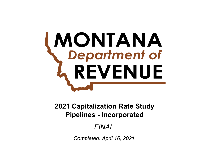# **MONTANA**<br>Chepartment of REVENUE

**Pipelines - Incorporated 2021 Capitalization Rate Study**

# *FINAL*

*Completed: April 16, 2021*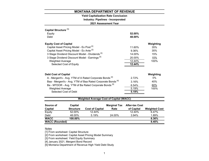# **Yield Capitalization Rate Conclusion**

**Industry: Pipelines - Incorporated**

**2021 Assessment Year**

| Capital Structure <sup>[1]</sup>                                       |                |           |
|------------------------------------------------------------------------|----------------|-----------|
| Equity                                                                 | 52.00%         |           |
| Debt                                                                   | 48.00%         |           |
| <b>Equity Cost of Capital</b>                                          |                | Weighting |
| Capital Asset Pricing Model - Ex Post <sup>[2]</sup>                   | 11.60%         | 35%       |
| Capital Asset Pricing Model - Ex Ante <sup>[2]</sup>                   | 9.36%          | 35%       |
| 3 Stage Dividend Discount Model - Dividends <sup>[3]</sup>             | 14.00%         | 15%       |
| 3 Stage Dividend Discount Model - Earnings <sup>[3]</sup>              | 20.00%         | 15%       |
| <b>Weighted Average</b>                                                | 12.44%         | 100%      |
| Selected Cost of Equity                                                | 12.44%         |           |
|                                                                        |                |           |
| <b>Debt Cost of Capital</b>                                            |                | Weighting |
| A - Mergent's - Avg. YTM of A Rated Corporate Bonds <sup>[4]</sup>     | 2.72%          | 0%        |
| Baa - Mergent's - Avg. YTM of Baa Rated Corporate Bonds <sup>[4]</sup> | 3.16%          | 40%       |
| Ba - MTDOR - Avg. YTM of Ba Rated Corporate Bonds <sup>[5]</sup>       | 6.54%          | 60%       |
| <b>Weighted Average</b>                                                | 5.19%          | 100%      |
| Selected Cost of Debt                                                  | 5.19%          |           |
|                                                                        |                |           |
| <b>Weighted Average Cost of Capital (WACC)</b>                         |                |           |
| Source of<br>Canital<br><b>Marginal Tax</b>                            | After-tax Cost |           |

| <b>Structure</b> | <b>Cost of Capital</b> | Rate   | of Capital | <b>Weighted Cost</b>                                    |
|------------------|------------------------|--------|------------|---------------------------------------------------------|
| 52.00%           | 12.44%                 |        | 12.44%     | 6.47%                                                   |
| 48.00%           | 5.19%                  | 24.00% | 3.94%      | 1.89%                                                   |
| 100.00%          |                        |        |            | 8.36%                                                   |
|                  |                        |        |            | 8.40%                                                   |
|                  |                        |        |            | Capital<br><b>Marginal Tax</b><br><b>After-tax Cost</b> |

#### Notes

[1] From worksheet: Capital Structure

[2] From worksheet: Capital Asset Pricing Model Summary

[3] From worksheet: Yield Equity Summary

[4] January 2021, Mergent Bond Record

[5] Montana Department of Revenue High Yield Debt Study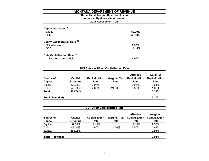#### **2021 Assessment Year Industry: Pipelines - Incorporated Direct Capitalization Rate Conclusion**

| Capital Structure <sup>[1]</sup><br>Equity<br>Debt                         | 52.00%<br>48.00% |
|----------------------------------------------------------------------------|------------------|
| <b>Equity Capitalization Rate [2]</b><br>NOI After-tax<br><b>GCF</b>       | 6.95%<br>14.15%  |
| Debt Capitalization Rate <sup>[3]</sup><br><b>Calculated Current Yield</b> | 4.60%            |

| <b>NOI After-tax Direct Capitalization Rate</b> |                             |                        |                             |                                     |                                    |  |  |  |
|-------------------------------------------------|-----------------------------|------------------------|-----------------------------|-------------------------------------|------------------------------------|--|--|--|
| Source of<br><b>Capital</b>                     | Capital<br><b>Structure</b> | Capitalization<br>Rate | <b>Marginal Tax</b><br>Rate | After-tax<br>Capitalization<br>Rate | Weighted<br>Capitalization<br>Rate |  |  |  |
| Equity                                          | 52.00%                      | 6.95%                  |                             | 6.95%                               | 3.61%                              |  |  |  |
| Debt                                            | 48.00%                      | 4.60%                  | 24.00%                      | 3.50%                               | 1.68%                              |  |  |  |
| <b>Total</b>                                    | 100.00%                     |                        |                             |                                     | 5.29%                              |  |  |  |
| <b>Total (Rounded)</b>                          |                             |                        |                             |                                     | 5.30%                              |  |  |  |

| Capital<br><b>Structure</b> | <b>Capitalization</b> | <b>Marginal Tax</b> | After-tax<br>Capitalization | Weighted<br>Capitalization |
|-----------------------------|-----------------------|---------------------|-----------------------------|----------------------------|
|                             |                       |                     |                             |                            |
|                             | Rate                  | Rate                | Rate                        | Rate                       |
| 52.00%                      | 14.15%                |                     | 14.15%                      | 7.36%                      |
| 48.00%                      | 4.60%                 | 24.00%              | 3.50%                       | 1.68%                      |
| 100.00%                     |                       |                     |                             | 9.04%                      |
|                             |                       |                     |                             | 9.05%                      |
|                             |                       |                     |                             |                            |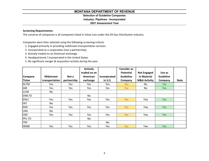# **Selection of Guideline Companies**

# **Industry: Pipelines - Incorporated**

# **2021 Assessment Year**

# **Screening Requirements:**

The universe of companies is all companies listed in Value Line under the Oil‐Gas Distribution industry.

Companies were then selected using the following screening criteria:

- 1. Engaged primarily in providing midstream transportation services.
- 2. Incorporated as <sup>a</sup> corporation (not <sup>a</sup> partnership).
- 3. Actively traded on an American exchange.
- 4. Headquartered / incorporated in the United States
- 5. No significant merger & acquisition activity during the year.

|                |                  |             | <b>Actively</b> |              | <b>Consider as</b> |                         |                  |             |
|----------------|------------------|-------------|-----------------|--------------|--------------------|-------------------------|------------------|-------------|
|                |                  |             | traded on an    |              | <b>Potential</b>   | <b>Not Engaged</b>      | Use as           |             |
| <b>Company</b> | <b>Midstream</b> | Not a       | American        | Incorporated | <b>Guideline</b>   | in Material             | <b>Guideline</b> |             |
| <b>Ticker</b>  | transportation   | partnership | exchange        | in U.S.      | Company            | <b>M&amp;A Activity</b> | Company          | <b>Note</b> |
| <b>ALTM</b>    | Yes              | Yes         | Yes             | Yes          | Yes                | No.                     | <b>Yes</b>       |             |
| AM             | Yes              | Yes         | Yes             | Yes          | Yes                | No                      | Yes              |             |
| <b>CLNE</b>    | No               |             |                 |              |                    |                         |                  |             |
| ENB.TO         |                  |             | No              |              |                    |                         |                  |             |
| <b>ENLC</b>    | Yes              | Yes         | Yes             | Yes          | Yes                | Yes                     | <b>Yes</b>       |             |
| <b>INT</b>     | No               |             |                 |              |                    |                         |                  |             |
| KMI            | Yes              | Yes         | Yes             | Yes          | Yes                | Yes                     | <b>Yes</b>       |             |
| <b>LNG</b>     | No               |             |                 |              |                    |                         |                  |             |
| <b>OKE</b>     | Yes              | Yes         | Yes             | Yes          | Yes                | Yes                     | <b>Yes</b>       |             |
| PPL.TO         |                  |             | No              |              |                    |                         |                  |             |
| <b>TRP</b>     |                  |             |                 | No           |                    |                         |                  |             |
| <b>WMB</b>     | Yes              | Yes         | Yes             | <b>Yes</b>   | <b>Yes</b>         | Yes                     | Yes:             |             |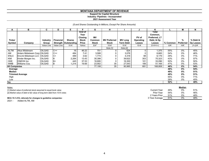#### **Support for Capital Structure Industry: Pipelines - Incorporated**

# **2021 Assessment Year**

## *(\$ and Shares Outstanding In Millions, Except Per Share Amounts)*

| A                    | в                             | C               | D                | Е                      |                                  | G            | н                   |                  | IJ        | Κ                                 |            | М         | N         |
|----------------------|-------------------------------|-----------------|------------------|------------------------|----------------------------------|--------------|---------------------|------------------|-----------|-----------------------------------|------------|-----------|-----------|
|                      |                               |                 |                  |                        | <b>End of</b><br>Year<br>Closing | <b>MV</b>    |                     |                  | PV of     | Total<br>Common,<br>Preferred, LT |            |           |           |
| <b>Ticker</b>        |                               | <b>Industry</b> | <b>Financial</b> | <b>Shares</b>          | <b>Stock</b><br>Price            | Common       | <b>MV Preferred</b> | <b>MV Long</b>   | Operating | Debt, & Op                        |            | %         | % Debt &  |
| Symbol               | Company                       | Group           |                  | Strength   Outstanding |                                  | <b>Stock</b> | <b>Stock</b>        | <b>Term Debt</b> | Leases    | Leases                            | $%$ Common | Preferred | Op Leases |
|                      |                               | Value Line      | Value Line       | $10-K$                 | Yahoo                            | ExF          | $10-K$              | $10-K$           | 10-K      | $G+H+H+J$                         | G/K        | H/K       | $(l+J)/K$ |
|                      |                               |                 |                  |                        |                                  |              | Note [1]            | Note [2]         |           |                                   |            |           |           |
| <b>ALTM</b>          | <b>Altus Midstream</b>        | <b>OILGAS</b>   | $C++$            | 16                     | 46.22                            | 751          |                     | 624              | 0         | 1,375                             | 55%        | $0\%$     | 45%       |
| AM                   | Antero Midstream Corp. OILGAS |                 | $C++$            | 484                    | 7.41                             | 3,588        |                     | 3,078            | 0         | 6,665                             | 54%        | 0%        | 46%       |
| <b>ENLC</b>          | EnLink Midstream LLC   OILGAS |                 | $C+$             | 489                    | 3.62                             | 1,774        |                     | 4,318            | 88        | 6,179                             | 29%        | 0%        | 71%       |
| KMI                  | Kinder Morgan Inc.            | <b>OILGAS</b>   | B                | 2,264                  | 13.43                            | 30,398       |                     | 39,622           | 303       | 70,323                            | 43%        | 0%        | 57%       |
| OKE                  | <b>ONEOK</b> Inc.             | <b>OILGAS</b>   | B+               | 445                    | 37.53                            | 16,695       |                     | 16,300           | 101       | 33,096                            | 50%        | 0%        | 50%       |
| <b>WMB</b>           | Williams Cos.                 | <b>OILGAS</b>   | B                | 1,214                  | 19.69                            | 23,902       | 35                  | 27,043           | 189       | 51,169                            | 47%        | $0\%$     | 53%       |
| <b>All Companies</b> |                               |                 |                  |                        |                                  | 77,108       | 35                  | 90,985           | 681       | 168,808                           | 46%        | $0\%$     | 54%       |
| Average              |                               |                 |                  |                        |                                  |              |                     |                  |           |                                   | 46%        | $0\%$     | 54%       |
| Median               |                               |                 |                  |                        |                                  |              |                     |                  |           |                                   | 49%        | 0%        | 51%       |
|                      | <b>Trimmed Average</b>        |                 |                  |                        |                                  |              |                     |                  |           |                                   | 49%        | 0%        | 51%       |
| High                 |                               |                 |                  |                        |                                  |              |                     |                  |           |                                   | 55%        | 0%        | 71%       |
| Low                  |                               |                 |                  |                        |                                  |              |                     |                  |           |                                   | 29%        | 0%        | 45%       |
| Say                  |                               |                 |                  |                        |                                  |              |                     |                  |           |                                   | 52%        |           | 48%       |

| Notes:                                                                   |                     |     | Median |     |
|--------------------------------------------------------------------------|---------------------|-----|--------|-----|
| [1] Market value of preferred stock assumed to equal book value          | <b>Current Year</b> | 49% | 0%     | 51% |
| [2] Market value of debt is fair value of long term debt from 10-K notes | <b>Prior Year</b>   | 54% | 0%     | 46% |
|                                                                          | 2 Years Prior       | 51% | 0%     | 48% |
| MCA 15-1-210, rationale for changes to guideline companies:              | 3 Year Average      | 51% | 0%     | 48% |

2021 - Added ALTM, AM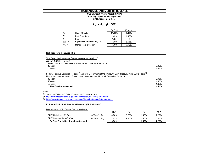#### **Industry: Pipelines - Incorporated Capital Asset Pricing Model (CAPM)**

**2021 Assessment Year**

#### *k <sup>e</sup>= R <sup>f</sup><sup>+</sup>β x ERP*

|           |                                   | Ex Post | Ex Ante |
|-----------|-----------------------------------|---------|---------|
| $K_{e}$   | Cost of Equity                    | 11.60%  | 9.36%   |
| $R_f =$   | <b>Risk Free Rate</b>             | 1.45%   | 1.45%   |
| $\beta =$ | Beta                              | 1.40    | 1.40    |
| $ERP =$   | Equity Risk Premium $(R_m - R_f)$ | 7.25%   | 5.65%   |
| $R_m =$   | Market Rate of Return             | 8.70%   | 7.10%   |

#### **Risk Free Rate Measures (Rf):**

| The Value Line Investment Survey: Selection & Opinion [1]                                                                                                                                                                       |       |
|---------------------------------------------------------------------------------------------------------------------------------------------------------------------------------------------------------------------------------|-------|
| January 1, 2021 Page 701                                                                                                                                                                                                        |       |
| Selected Yields on Taxable U.S. Treasury Securities as of 12/21/20                                                                                                                                                              |       |
| 10-year                                                                                                                                                                                                                         | 0.95% |
| $30$ -year                                                                                                                                                                                                                      | 1.68% |
| Federal Reserve Statistical Release <sup>[2]</sup> and U.S. Department of the Treasury, Daily Treasury Yield Curve Rates <sup>[3]</sup><br>U.S. government securities, Treasury constant maturities, Nominal, December 31, 2020 |       |
| 10-year                                                                                                                                                                                                                         | 0.93% |
| 20-year                                                                                                                                                                                                                         | 1.45% |
| 30-year                                                                                                                                                                                                                         | 1.65% |
| <b>Risk Free Rate Selected</b>                                                                                                                                                                                                  | 1.45% |

#### <u>Notes</u>

[1] "Value Line Selection & Opinion", Value Line (January 3, 2020)

[2] https://www.federalreserve.gov/datadownload/Choose.aspx?rel=H.15

[3] https://www.treasury.gov/resource-center/data-chart-center/interest-rates/

#### **Ex Post - Equity Risk Premium Measures (ERP = Rm - Rf)**

| Duff & Phelps, 2021 Cost of Capital Navigator |                 |             |       |       |            |
|-----------------------------------------------|-----------------|-------------|-------|-------|------------|
|                                               |                 | $R_m^{[4]}$ | $R_m$ | $R_f$ | <b>ERP</b> |
| ERP "Historical" - Ex Post                    | Arithmetic Avg. | 8.70%       | 8.70% | 1.45% | 7.25%      |
| ERP "Supply-side" - Ex Post                   | Arithmetic Avg. | 7.45%       | 7.45% | 1.45% | 6.00%      |
| <b>Ex Post Equity Risk Premium Selected</b>   |                 | 8.70%       |       | 1.45% | 7.25%      |
|                                               |                 |             |       |       |            |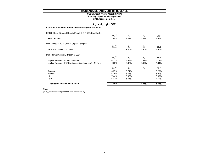# **Capital Asset Pricing Model (CAPM)**

**Industry: Pipelines - Incorporated**

**2021 Assessment Year**

#### *k <sup>e</sup>= R <sup>f</sup><sup>+</sup>β x ERP*

| Ex Ante - Equity Risk Premium Measures (ERP = Rm - Rf)    |             |       |             |            |
|-----------------------------------------------------------|-------------|-------|-------------|------------|
| DOR 3 Stage Dividend Growth Model, S & P 500, See Exhibit |             |       |             |            |
|                                                           | $R_m^{[4]}$ | $R_m$ | $R_{\rm f}$ | ERP        |
| ERP - Ex Ante                                             | 7.44%       | 7.44% | 1.45%       | 5.99%      |
| Duff & Phelps, 2021 Cost of Capital Navigator             |             |       |             |            |
|                                                           | $R_m^{[4]}$ | $R_m$ | $R_{\rm f}$ | ERP        |
| ERP "Conditional" - Ex Ante                               |             | 8.00% | 2.50%       | 5.50%      |
| Damodaran Implied ERP (Jan 5, 2021)                       |             |       |             |            |
|                                                           | $R_m^{[4]}$ | $R_m$ | $R_{\rm f}$ | <b>ERP</b> |
| Implied Premium (FCFE) - Ex Ante                          | 6.17%       | 5.65% | 0.93%       | 4.72%      |
| Implied Premium (FCFE with sustainable payout) - Ex Ante  | 6.39%       | 5.87% | 0.93%       | 4.94%      |
|                                                           | $R_m^{[4]}$ | $R_m$ | $R_f$       | ERP        |
| Average                                                   | 6.67%       | 6.74% |             | 5.29%      |
| Median                                                    | 6.39%       | 6.66% |             | 5.22%      |
| High                                                      | 7.44%       | 8.00% |             | 5.99%      |
| Low                                                       | 6.17%       | 5.65% |             | 4.72%      |
| <b>Equity Risk Premium Selected</b>                       | 7.10%       |       | 1.45%       | 5.65%      |

<u>Notes</u><br>[4] R<sub>m</sub> estimated using selected Risk Free Rate (R<sub>t</sub>)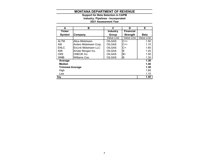#### **2021 Assessment Year Industry: Pipelines - Incorporated Support for Beta Selection in CAPM**

| A                      | в                           | C               | D                | Е                        |
|------------------------|-----------------------------|-----------------|------------------|--------------------------|
| <b>Ticker</b>          |                             | <b>Industry</b> | <b>Financial</b> |                          |
| Symbol                 | Company                     | Group           | <b>Strength</b>  | Beta                     |
|                        |                             | Value Line      | Value Line       | <i><b>Value Line</b></i> |
| <b>ALTM</b>            | Altus Midstream             | <b>OILGAS</b>   | $C++$            | 1.50                     |
| AM                     | Antero Midstream Corp.      | <b>OILGAS</b>   | $C++$            | 1.10                     |
| <b>ENLC</b>            | <b>EnLink Midstream LLC</b> | <b>OILGAS</b>   | C+               | 1.65                     |
| KMI                    | Kinder Morgan Inc.          | <b>OILGAS</b>   | B                | 1.20                     |
| <b>OKE</b>             | <b>ONEOK Inc.</b>           | <b>OILGAS</b>   | B+               | 1.50                     |
| <b>WMB</b>             | Williams Cos.               | <b>OILGAS</b>   | в                | 1.30                     |
| Average                |                             |                 |                  | 1.38                     |
| <b>Median</b>          |                             |                 |                  | 1.40                     |
| <b>Trimmed Average</b> |                             |                 |                  | 1.38                     |
| High                   |                             |                 |                  | 1.65                     |
| Low                    |                             |                 |                  | 1.10                     |
| Say                    |                             |                 |                  | 1.40                     |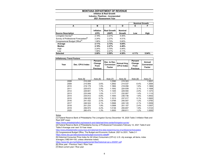#### **Inflation & Real Growth Industry: Pipelines - Incorporated 2021 Assessment Year**

|                                                   |                    |                             |                          | <b>Nominal Growth</b> |       |
|---------------------------------------------------|--------------------|-----------------------------|--------------------------|-----------------------|-------|
| А                                                 | в                  | C                           | D                        | Е                     | F     |
| <b>Source Description</b>                         | Inflation<br>(CPI) | <b>Real Growth</b><br>(GDP) | <b>Nominal</b><br>Growth | Low                   | High  |
| Livingston Survey <sup>[1]</sup>                  | 2.19%              | 221%                        | 4.40%                    |                       |       |
| Survey of Professional Forecasters <sup>[2]</sup> | 2.24%              | 2.27%                       | 4.51%                    |                       |       |
| Congressional Budget Office <sup>[3]</sup>        | 1.90%              | 3.70%                       | 5.60%                    |                       |       |
| Average                                           | 2.11%              | 2.73%                       | 4.84%                    |                       |       |
| Median                                            | 2.19%              | 2.27%                       | 4.46%                    |                       |       |
| High                                              | 2.24%              | 3.70%                       | 5.94%                    |                       |       |
| Low                                               | 1.90%              | 2.21%                       | 4.11%                    |                       |       |
| <b>Selected</b>                                   | 2.00%              | 2.50%                       | 4.50%                    | 4.11%                 | 5.94% |

| <b>Inflationary Trend Factors</b> |                  |                                              |                                      |                                   |                                                     |                                       |
|-----------------------------------|------------------|----------------------------------------------|--------------------------------------|-----------------------------------|-----------------------------------------------------|---------------------------------------|
| Year                              | Dec. CPI-U Index | Percent<br>Change<br>From<br><b>Previous</b> | Dec. to Dec.<br>Conversion<br>Factor | Annual Avg.<br><b>CPI-U Index</b> | Percent<br>Change<br><b>From</b><br><b>Previous</b> | Annual<br><b>Conversion</b><br>Factor |
|                                   |                  |                                              |                                      |                                   |                                                     |                                       |
|                                   | Note [5]         | Note [6]                                     | <b>Note [7]</b>                      | Note [5]                          | Note [6]                                            | Note [7]                              |
| 2008                              | 210.228          |                                              | 1.2390                               | 215.303                           |                                                     | 1.2021                                |
| 2009                              | 215.949          | 2.6%                                         | 1.2062                               | 214.537                           | $-0.4%$                                             | 1.2064                                |
| 2010                              | 219.179          | 1.5%                                         | 1.1884                               | 218.056                           | 1.6%                                                | 1.1869                                |
| 2011                              | 225.672          | 2.9%                                         | 1.1542                               | 224.939                           | 3.1%                                                | 1.1506                                |
| 2012                              | 229.601          | 1.7%                                         | 1.1345                               | 229.594                           | 2.0%                                                | 1.1273                                |
| 2013                              | 233.049          | 1.5%                                         | 1.1177                               | 232.957                           | 1.4%                                                | 1.1110                                |
| 2014                              | 234.812          | 0.8%                                         | 1.1093                               | 236.736                           | 1.6%                                                | 1.0932                                |
| 2015                              | 236.525          | 0.7%                                         | 1.1013                               | 237.017                           | 0.1%                                                | 1.0920                                |
| 2016                              | 241.432          | 2.0%                                         | 1.0789                               | 240.007                           | 1.2%                                                | 1.0783                                |
| 2017                              | 246.524          | 2.1%                                         | 1.0566                               | 245.120                           | 2.1%                                                | 1.0559                                |
| 2018                              | 251.233          | 1.9%                                         | 1.0368                               | 251.107                           | 2.4%                                                | 1.0307                                |
| 2019                              | 256.974          | 2.2%                                         | 1.0136                               | 255.657                           | 1.8%                                                | 1.0123                                |
| 2020                              | 260.474          | 1.3%                                         | 1.0000                               | 258.811                           | 1.2%                                                | 1.0000                                |

Notes

[1] Federal Reserve Bank of Philadelphia The Livingston Survey December 18, 2020 Table 3 Inflation Rate and Real GDP mean

https://www.philadelphiafed.org/research-and-data/real-time-center/livingston-survey

[2] Federal Reserve Bank of Philadelphia Survey of Professional Forecasters February 12, 2021 Table 8 and Table 9 Average over next 10-Year mean

https://www.philadelphiafed.org/surveys-and-data/real-time-data-research/survey-of-professional-forecasters

[3] Congressional Budget Office, The Budget and Economic Outlook: 2021 to 2031, Table 2-1

https://www.cbo.gov/about/products/budget-economic-data#4

[5] Historical Consumer Price Index for All Urban Consumers (CPI-U): U.S. city average, all items, index averages (1982-84=100, unless otherwise noted)

https://www.bls.gov/cpi/tables/supplemental-files/historical-cpi-u-202001.pdf

[6] (Row year - Previous Year) / Row Year

[7] Most current year / Row year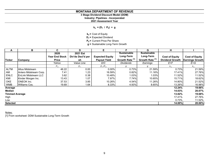# **3 Stage Dividend Discount Model (DDM)**

**Industry: Pipelines - Incorporated**

**2021 Assessment Year**

 $k_e = (D_1 / P_0) + g$ 

**ke =** Cost of Equity

**D<sub>1</sub>** = Expected Dividend

**P<sub>0</sub>** = Current Price Per Share

**g =** Sustainable Long-Term Growth

| A                     | B                           | C.                    | D                 | Е                      |                            | G                          | н                      |                        |
|-----------------------|-----------------------------|-----------------------|-------------------|------------------------|----------------------------|----------------------------|------------------------|------------------------|
|                       |                             | 2020                  | 2021 Est          |                        | <b>Sustainable</b>         | <b>Sustainable</b>         |                        |                        |
|                       |                             | <b>Year End Stock</b> | Div'ds Decl'd per | <b>Expected Equity</b> | Long-Term                  | Long-Term                  | <b>Cost of Equity</b>  | <b>Cost of Equity</b>  |
| <b>Ticker</b>         | Company                     | <b>Price</b>          | sh                | <b>Payout Yield</b>    | Growth Rate <sup>[1]</sup> | Growth Rate <sup>[1]</sup> | <b>Dividend Growth</b> | <b>Earnings Growth</b> |
|                       |                             | Yahoo                 | Value Line        | D/C                    | Dividends                  | Earnings                   | E+F                    | $E+G$                  |
|                       |                             | P <sub>0</sub>        | $D_1$             | $D_1/P_0$              | g                          |                            | $K_{\rm e}$            |                        |
| <b>ALTM</b>           | Altus Midstream             | 46.22                 | 0.00              | 0.00%                  | 0.73%                      | 21.59%                     | 0.73%                  | 21.59%                 |
| AM                    | Antero Midstream Corp.      | 7.41                  | 1.23              | 16.59%                 | 0.82%                      | 11.16%                     | 17.41%                 | 27.76%                 |
| <b>ENLC</b>           | <b>EnLink Midstream LLC</b> | 3.62                  | 0.38              | 10.48%                 | 1.03%                      | 1.03%                      | 11.52%                 | 11.52%                 |
| KMI                   | Kinder Morgan Inc.          | 13.43                 | 1.07              | 7.97%                  | 7.74%                      | 10.65%                     | 15.71%                 | 18.62%                 |
| <b>OKE</b>            | <b>ONEOK</b> Inc.           | 37.53                 | 3.85              | 10.26%                 | 4.54%                      | 11.26%                     | 14.80%                 | 21.52%                 |
| <b>WMB</b>            | Williams Cos.               | 19.69                 | 1.64              | 8.33%                  | 4.93%                      | 8.65%                      | 13.26%                 | 16.98%                 |
| Average               |                             |                       |                   |                        |                            |                            | 12.24%                 | 19.66%                 |
| Median                |                             |                       |                   |                        |                            |                            | 14.03%                 | 20.07%                 |
| <b>Timmed Average</b> |                             |                       |                   |                        |                            |                            | 13.82%                 | 19.68%                 |
| High                  |                             |                       |                   |                        |                            |                            | 17.41%                 | 27.76%                 |
| Low                   |                             |                       |                   |                        |                            |                            | 0.73%                  | 11.52%                 |
| <b>Selected</b>       |                             |                       |                   |                        |                            |                            | 14.00%                 | 20.00%                 |

Notes:

[1] From worksheet: DDM Sustainable Long-Term Growth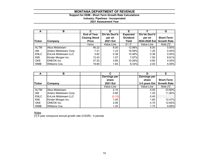# **Support for DDM - Short Term Growth Rate Calculations Industry: Pipelines - Incorporated**

**2021 Assessment Year**

| A             | в                           | С                    | D               |                 |               | G                  |
|---------------|-----------------------------|----------------------|-----------------|-----------------|---------------|--------------------|
|               |                             | <b>End of Year</b>   | Div'ds Decl'd   | <b>Expected</b> | Div'ds Decl'd |                    |
|               |                             | <b>Closing Stock</b> | per sh          | <b>Dividend</b> | per sh        | <b>Short-Term</b>  |
| <b>Ticker</b> | Company                     | <b>Price</b>         | <b>2021 Est</b> | Yield           | 2024-2026 Est | <b>Growth Rate</b> |
|               |                             | Yahoo                | Value Line      | D/C             | Value Line    | Note [1]           |
| <b>ALTM</b>   | <b>Altus Midstream</b>      | 46.22                | 6.00            | 12.98%          | 6.00          | 0.00%              |
| AM            | Antero Midstream Corp.      | 7.41                 | 1.23            | 16.59%          | 1.25          | 0.40%              |
| <b>ENLC</b>   | <b>EnLink Midstream LLC</b> | 3.62                 | 0.38            | 10.48%          | 0.38          | 0.00%              |
| KMI           | Kinder Morgan Inc.          | 13.43                | 1.07            | 7.97%           | 1.50          | 8.81%              |
| <b>OKE</b>    | <b>ONEOK Inc.</b>           | 37.53                | 3.85            | 10.26%          | 4.60          | 4.55%              |
| <b>WMB</b>    | Williams Cos.               | 19.69                | 1.64            | 8.33%           | 2.00          | 5.09%              |

|               | в                      | С                   |                     |                    |
|---------------|------------------------|---------------------|---------------------|--------------------|
|               |                        | <b>Earnings per</b> | <b>Earnings per</b> |                    |
|               |                        | share               | share               | <b>Short-Term</b>  |
| <b>Ticker</b> | <b>Company</b>         | 2021 Est            | 3-5 years Est       | <b>Growth Rate</b> |
|               |                        | Value Line          | Value Line          | Note [1]           |
| <b>ALTM</b>   | <b>Altus Midstream</b> | 2.15                | 5.05                | 23.80%             |
| AM            | Antero Midstream Corp. | 0.80                | 1.25                | 11.80%             |
| <b>ENLC</b>   | EnLink Midstream LLC   | (0.10)              | 0.40                |                    |
| KMI           | Kinder Morgan Inc.     | 1.00                | 1.60                | 12.47%             |
| <b>OKE</b>    | <b>ONEOK</b> Inc.      | 2.95                | 4.75                | 12.65%             |
| <b>WMB</b>    | Williams Cos.          | 1.20                | 1.75                | 9.89%              |

<u>Notes</u>

[1] 5 year compound annual growth rate (CAGR) - 4 periods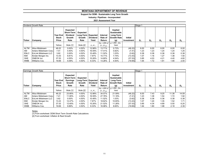#### **Support for DDM - Sustainable Long Term Growth**

**Industry: Pipelines - Incorporated**

**2021 Assessment Year**

|               | Dividend Growth Rate        |                                          | Stage 1                                                                   |                                                    |                          |                                    |                                                                                                   |         |       |      |       |       |       |
|---------------|-----------------------------|------------------------------------------|---------------------------------------------------------------------------|----------------------------------------------------|--------------------------|------------------------------------|---------------------------------------------------------------------------------------------------|---------|-------|------|-------|-------|-------|
| <b>Ticker</b> | Company                     | <b>Year End</b><br><b>Stock</b><br>Price | <b>Expected</b><br><b>Short-Term</b><br><b>Dividend</b><br>Growth<br>Rate | Expected<br>Long-Term   Expected<br>Growth<br>Rate | <b>Dividend</b><br>Yield | Internal<br>Rate of<br>Return      | Implied<br>Sustainable<br>Long-Term<br><b>Growth Ratel</b><br><b>Initial</b><br>(g)<br>Investment |         | $D_1$ | D,   | $D_3$ | $D_4$ | $D_5$ |
|               |                             | Yahoo                                    | Note [1]                                                                  | Note [2]                                           | $D_1/P_0$                | $Ke = IRR$ of<br>$D_1$ : $D_{500}$ | $q = IRR - Div.$<br>Yield                                                                         |         |       |      |       |       |       |
| <b>ALTM</b>   | Altus Midstream             | 46.22                                    | $0.00\%$                                                                  | 4.50%                                              | 12.98%                   | 13.71%                             | 0.73%                                                                                             | (46.22) | 6.00  | 6.00 | 6.00  | 6.00  | 6.00  |
| AM            | Antero Midstream Corp.      | 7.41                                     | 0.40%                                                                     | 4.50%                                              | 16.59%                   | 17.41%                             | 0.82%                                                                                             | (7.41)  | 1.23  | 1.23 | 1.24  | 1.24  | 1.25  |
| <b>ENLC</b>   | <b>EnLink Midstream LLC</b> | 3.62                                     | $0.00\%$                                                                  | 4.50%                                              | 10.48%                   | 11.52%                             | 1.03%                                                                                             | (3.62)  | 0.38  | 0.38 | 0.38  | 0.38  | 0.38  |
| KMI           | Kinder Morgan Inc.          | 13.43                                    | 8.81%                                                                     | 4.50%                                              | 7.97%                    | 15.71%                             | 7.74%                                                                                             | (13.43) | 1.07  | 1.16 | 1.27  | 1.38  | 1.50  |
| <b>OKE</b>    | ONEOK Inc.                  | 37.53                                    | 4.55%                                                                     | 4.50%                                              | 10.26%                   | 14.80%                             | 4.54%                                                                                             | (37.53) | 3.85  | 4.03 | 4.21  | 4.40  | 4.60  |
| <b>WMB</b>    | Williams Cos.               | 19.69                                    | 5.09%                                                                     | 4.50%                                              | 8.33%                    | 13.26%                             | 4.93%                                                                                             | (19.69) | 1.64  | 1.72 | 1.81  | 1.90  | 2.00  |

|             | Earnings Growth Rate        |                                          |                                                                           | Stage 1                                                   |                          |                               |                                                                          |                              |       |                |       |       |       |
|-------------|-----------------------------|------------------------------------------|---------------------------------------------------------------------------|-----------------------------------------------------------|--------------------------|-------------------------------|--------------------------------------------------------------------------|------------------------------|-------|----------------|-------|-------|-------|
| Ticker      | Company                     | <b>Year End</b><br><b>Stock</b><br>Price | <b>Expected</b><br><b>Short-Term</b><br>Earnings<br><b>Growth</b><br>Rate | <b>Expected</b><br>Long-Term   Expected<br>Growth<br>Rate | <b>Dividend</b><br>Yield | Internal<br>Rate of<br>Return | Implied<br><b>Sustainable</b><br>Long-Term<br><b>Growth Ratel</b><br>(g) | <b>Initial</b><br>Investment | $D_1$ | D <sub>2</sub> | $D_3$ | $D_4$ | $D_5$ |
|             |                             | Yahoo                                    | Note [1]                                                                  | Note [2]                                                  |                          | $Ke = IRR$ of                 | $q = IRR - Div.$<br>Yield                                                |                              |       |                |       |       |       |
|             |                             |                                          |                                                                           |                                                           | $D_1/P_0$                | $D_1$ : $D_{500}$             |                                                                          |                              |       |                |       |       |       |
| <b>ALTM</b> | <b>Altus Midstream</b>      | 46.22                                    | 23.80%                                                                    | 4.50%                                                     | 12.98%                   | 34.57%                        | 21.59%                                                                   | (46.22)                      | 6.00  | 7.43           | 9.20  | 11.38 | 14.09 |
| AM          | Antero Midstream Corp.      | 7.41                                     | 11.80%                                                                    | 4.50%                                                     | 16.59%                   | 27.76%                        | 11.16%                                                                   | (7.41)                       | 1.23  | 1.38           | 1.54  | 1.72  | 1.92  |
| <b>ENLC</b> | <b>EnLink Midstream LLC</b> | 3.62                                     | $0.00\%$                                                                  | 4.50%                                                     | 10.48%                   | 11.52%                        | 1.03%                                                                    | (3.62)                       | 0.38  | 0.38           | 0.38  | 0.38  | 0.38  |
| KMI         | Kinder Morgan Inc.          | 13.43                                    | 12.47%                                                                    | 4.50%                                                     | 7.97%                    | 18.62%                        | 10.65%                                                                   | (13.43)                      | 1.07  | 1.20           | 1.35  | 1.52  | 1.71  |
| <b>OKE</b>  | <b>ONEOK Inc.</b>           | 37.53                                    | 12.65%                                                                    | 4.50%                                                     | 10.26%                   | 21.52%                        | 11.26%                                                                   | (37.53)                      | 3.85  | 4.34           | 4.89  | 5.50  | 6.20  |
| <b>WMB</b>  | Williams Cos.               | 19.69                                    | 9.89%                                                                     | 4.50%                                                     | 8.33%                    | 16.98%                        | 8.65%                                                                    | (19.69)                      | 1.64  | 1.80           | 1.98  | 2.18  | 2.39  |

#### Notes:

[1] From worksheet: DDM Short Term Growth Rate Calculations

[2] From worksheet: Inflation & Real Growth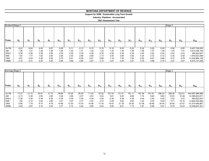#### **Support for DDM - Sustainable Long Term Growth**

**Industry: Pipelines - Incorporated**

| Dividend Stage 2 |       |                |       |       |          |          |          |          |          |          |          |          |          |          |          | Stage 3  |          |                |
|------------------|-------|----------------|-------|-------|----------|----------|----------|----------|----------|----------|----------|----------|----------|----------|----------|----------|----------|----------------|
| Ticker           | $D_6$ | D <sub>7</sub> | $D_8$ | $D_9$ | $D_{10}$ | $D_{11}$ | $D_{12}$ | $D_{13}$ | $D_{14}$ | $D_{15}$ | $D_{16}$ | $D_{17}$ | $D_{18}$ | $D_{19}$ | $D_{20}$ | $D_{21}$ | $D_{22}$ | $D_{500}$      |
|                  |       |                |       |       |          |          |          |          |          |          |          |          |          |          |          |          |          |                |
|                  |       |                |       |       |          |          |          |          |          |          |          |          |          |          |          |          |          |                |
| <b>ALTM</b>      | 6.02  | 6.04           | 6.05  | 6.07  | 6.09     | 6.11     | 6.13     | 6.15     | 6.16     | 6.18     | 6.20     | 6.22     | 6.24     | 6.26     | 6.28     | 6.56     | 6.85     | 9,407,726,005  |
| AM               | 1.26  | 1.27           | 1.28  | 1.28  | 1.29     | 1.30     | 1.31     | 1.32     | 1.33     | 1.34     | 1.35     | 1.36     | 1.36     | 1.37     | 1.38     | 1.45     | 1.51     | 2,073,436,150  |
| <b>ENLC</b>      | 0.38  | 0.38           | 0.38  | 0.38  | 0.39     | 0.39     | 0.39     | 0.39     | 0.39     | 0.39     | 0.39     | 0.39     | 0.40     | 0.40     | 0.40     | 0.42     | 0.43     | 595,822,647    |
| KMI              | 1.63  | 1.77           | 1.92  | 2.08  | 2.26     | 2.45     | 2.66     | 2.89     | 3.13     | 3.40     | 3.69     | 4.00     | 4.34     | 4.72     | 5.12     | 5.35     | 5.59     | 7,670,623,498  |
| OKE              | 4.81  | 5.03           | 5.26  | 5.50  | 5.75     | 6.01     | 6.28     | 6.57     | 6.86     | 7.18     | 7.50     | 7.84     | 8.20     | 8.57     | 8.96     | 9.37     | 9.79     | 13,434,869,146 |
| <b>WMB</b>       | 2.10  | 2.21           | 2.32  | 2.44  | 2.56     | 2.69     | 2.82     | 2.97     | 3.12     | 3.27     | 3.44     | 3.61     | 3.79     | 3.98     | 4.19     | 4.37     | 4.57     | 6,275,141,936  |

|               | Earnings Stage 2 |       |         |         |          |          |          |          |          |          |          |          |          |          |          | Stage 3  |          |                 |
|---------------|------------------|-------|---------|---------|----------|----------|----------|----------|----------|----------|----------|----------|----------|----------|----------|----------|----------|-----------------|
| <b>Ticker</b> | $D_{6}$          | D,    | $D_{8}$ | $D_{9}$ | $D_{10}$ | $D_{11}$ | $D_{12}$ | $D_{13}$ | $D_{14}$ | $D_{15}$ | $D_{16}$ | $D_{17}$ | $D_{18}$ | $D_{19}$ | $D_{20}$ | $D_{21}$ | $D_{22}$ | $D_{500}$       |
|               |                  |       |         |         |          |          |          |          |          |          |          |          |          |          |          |          |          |                 |
| <b>ALTM</b>   | 17.27            | 21.15 | 25.91   | 31.75   | 38.89    | 47.65    | 58.38    | 71.52    | 87.62    | 107.34   | 131.51   | 161.11   | 197.38   | 241.81   | 296.24   | 309.58   | 323.51   | 444,087,986,989 |
| AM            | 2.14             | 2.38  | 2.65    | 2.95    | 3.28     | 3.66     | 4.07     | 4.53     | 5.04     | 5.61     | 6.25     | 6.96     | 7.74     | 8.62     | 9.60     | 10.03    | 10.48    | 14,385,932,671  |
| <b>ENLC</b>   | 0.38             | 0.38  | 0.38    | 0.38    | 0.39     | 0.39     | 0.39     | 0.39     | 0.39     | 0.39     | 0.39     | 0.39     | 0.40     | 0.40     | 0.40     | 0.42     | 0.43     | 595,822,647     |
| KMI           | 1.92             | 2.15  | 2.40    | 2.69    | 3.01     | 3.37     | 3.77     | 4.22     | 4.72     | 5.29     | 5.92     | 6.63     | 7.42     | 8.30     | 9.29     | 9.71     | 10.15    | 13,929,350,965  |
| OKE           | 6.95             | 7.79  | 8.73    | 9.79    | 10.98    | 12.30    | 13.79    | 15.46    | 17.33    | 19.43    | 21.78    | 24.42    | 27.38    | 30.69    | 34.40    | 35.95    | 37.57    | 51,574,646,867  |
| <b>WMB</b>    | 2.62             | 2.87  | 3.14    | 3.44    | 3.77     | 4.13     | 4.52     | 4.95     | 5.43     | 5.94     | 6.51     | 7.13     | 7.81     | 8.56     | 9.37     | 9.79     | 10.23    | 14,048,847,221  |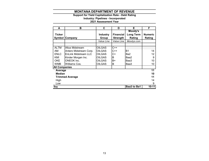# **Support for Yield Capitalization Rate - Debt Rating**

#### **Industry: Pipelines - Incorporated**

| A                    | в                      | C                        | D                                   | Е                                     | F                        |
|----------------------|------------------------|--------------------------|-------------------------------------|---------------------------------------|--------------------------|
| Ticker<br>Symbol     | Company                | <b>Industry</b><br>Group | <b>Financial</b><br><b>Strength</b> | Moody's<br><b>Long Term</b><br>Rating | <b>Numeric</b><br>Rating |
|                      |                        | Value Line               | Value Line                          | Moodys.com                            |                          |
|                      |                        |                          |                                     |                                       |                          |
| <b>ALTM</b>          | Altus Midstream        | <b>OILGAS</b>            | $C++$                               |                                       |                          |
| AM.                  | Antero Midstream Corp. | <b>OILGAS</b>            | C++                                 | B <sub>1</sub>                        | 14                       |
| ENLC                 | EnLink Midstream LLC   | <b>OILGAS</b>            | C+                                  | Ba2                                   | 12                       |
| KMI                  | Kinder Morgan Inc.     | <b>OILGAS</b>            | B                                   | Baa2                                  | 9                        |
| <b>OKE</b>           | <b>ONEOK Inc.</b>      | <b>OILGAS</b>            | B+                                  | Baa3                                  | 10                       |
| WMB                  | Williams Cos.          | <b>OILGAS</b>            | в                                   | Baa3                                  | 10                       |
| <b>All Companies</b> |                        |                          |                                     |                                       |                          |
| Average              |                        |                          |                                     |                                       | 11                       |
| <b>Median</b>        |                        |                          |                                     |                                       | 10                       |
|                      | <b>Trimmed Average</b> |                          |                                     |                                       | 11                       |
| High                 |                        |                          |                                     |                                       | 14                       |
| Low                  |                        |                          |                                     |                                       | 9                        |
| Say                  |                        |                          |                                     | Baa3 to Ba1                           | $10 - 11$                |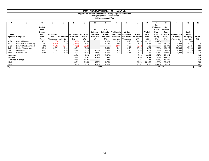#### **Support for Direct Capitalization - Equity Capitalization Rates**

**Industry: Pipelines - Incorporated**

| A           | в                           | C              | D                  | ь                    |                          | G       | н.          |        |                                                | n.                      |        | м             | N                             | Ο                     |                                 | Q           | R.          |
|-------------|-----------------------------|----------------|--------------------|----------------------|--------------------------|---------|-------------|--------|------------------------------------------------|-------------------------|--------|---------------|-------------------------------|-----------------------|---------------------------------|-------------|-------------|
|             |                             | End of<br>Year |                    |                      |                          |         | Ke          | Ke     |                                                |                         |        |               | Ke<br><b>Estimate</b><br>Cash | Ke<br><b>Estimate</b> |                                 |             |             |
|             |                             | Closing        |                    |                      |                          |         | Estimate    |        | <b>Estimate - IVL Historic</b>                 | <b>VL Est</b>           |        | <b>VL Est</b> | <b>Flow</b>                   | Cash                  |                                 | <b>Book</b> |             |
| Ticker      |                             | <b>Stock</b>   | <b>VL Historic</b> |                      | VL Historic   VL Est P/E |         | Earnings    |        | Earnings   Cash Flow   Cash Flow   VL Historic |                         |        | P/CF          | (Hist.                        |                       | <b>Flow (Est. Market Value)</b> | Value       |             |
|             | Symbol Company              | Price          | <b>EPS</b>         | VL Est EPS P/E Ratio |                          | Ratio   | (Hist. P/E) |        | (Est. P/E) Per Share   Per Share   P/CF Ratio  |                         |        | Ratio         | P(CF)                         | P(CF)                 | of Equity                       | of Equity   | <b>MTBR</b> |
|             |                             | Yahoo          | Value Line         | Value Line           | C/D                      | C/E     | 1/F         | 1/G    |                                                | Value Line   Value Line | C/J    | C/K           | 1/L                           | 1/M                   | Price x Shrs                    | Value Line  | P/Q         |
| <b>ALTM</b> | Altus Midstream             | 46.22          | (1.80)             | 2.15                 | (25.68)                  | 21.50   |             | 4.65%  | 2.18                                           | 0.20                    | 21.20  | 231.08        | 4.72%                         |                       | 751                             | (353)       |             |
| AM          | Antero Midstream Corp.      | 7.41           | (0.25)             | 0.80                 | (29.65)                  | 9.27    |             | 10.79% | 1.04                                           | 1.35                    | 7.13   | 5.49          | 14.03%                        | 18.21%                | 3,588                           | 3,143       | 1.14        |
| <b>ENLC</b> | <b>EnLink Midstream LLC</b> | 3.62           | (0.91)             | (0.10)               | (3.98)                   | (36.24) |             |        | (1.03)                                         | 0.85                    | (3.52) | 4.26          |                               | 23.45%                | 1,774                           | 2,125       | 0.83        |
| KMI         | Kinder Morgan Inc.          | 13.43          | 0.05               | 1.00                 | 268.51                   | 13.43   |             | 7.45%  | 1.01                                           | 2.15                    | 13.29  | 6.24          | 7.52%                         | 16.01%                | 30,398                          | 31,436      | 0.97        |
| OKE         | ONEOK Inc.                  | 37.53          | 2.54               | 2.95                 | 14.77                    | 12.72   | 6.77%       | 7.86%  | 4.25                                           | 3.75                    | 8.83   | 10.01         | 11.32%                        | 9.99%                 | 16,695                          | 6,226       | 2.68        |
| WMB         | Williams Cos.               | 19.69          | 1.09               | 1.20                 | 18.07                    | 16.41   | 5.54%       | 6.09%  | 2.41                                           | 2.55                    | 8.17   | 7.72          | 12.24%                        | 12.95%                | 23,902                          | 13,363      | 1.79        |
| Average     |                             |                |                    |                      | 40.34                    | 6.18    | 6.15%       | 7.37%  |                                                |                         | 9.18   | 44.14         | 9.97%                         | 16.12%                |                                 |             | 1.48        |
| Median      |                             |                |                    |                      | 5.40                     | 13.07   | 6.15%       | 7.45%  |                                                |                         | 8.50   | 6.98          | 11.32%                        | 16.01%                |                                 |             | 1.14        |
|             | <b>Trimmed Average</b>      |                |                    |                      | 0.80                     | 12.96   |             | 7.13%  |                                                |                         | 9.36   | 7.37          | 10.36%                        | 15.72%                |                                 |             | 1.30        |
| High        |                             |                |                    |                      | 268.51                   | 21.50   | 6.77%       | 10.79% |                                                |                         | 21.20  | 231.08        | 14.03%                        | 23.45%                |                                 |             | 2.68        |
| Low         |                             |                |                    |                      | (29.65)                  | (36.24) | 5.54%       | 4.65%  |                                                |                         | (3.52) | 4.26          | 4.72%                         | 9.99%                 |                                 |             | 0.83        |
| Say         |                             |                |                    |                      |                          |         | 6.95%       |        |                                                |                         |        |               |                               | 14.15%                |                                 |             | 1.15        |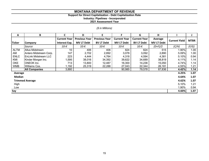#### **Support for Direct Capitalization - Debt Capitalization Rate**

**Industry: Pipelines - Incorporated**

**2021 Assessment Year**

# *(\$ in Millions)*

| A                      | B                            | C.                  | D                    | F                    | F.                  | G                   | н                 |                      |               |
|------------------------|------------------------------|---------------------|----------------------|----------------------|---------------------|---------------------|-------------------|----------------------|---------------|
|                        |                              | <b>Current Year</b> | <b>Previous Year</b> | <b>Previous Year</b> | <b>Current Year</b> | <b>Current Year</b> | Average           |                      | <b>MTBR</b>   |
| <b>Ticker</b>          | <b>Company</b>               | Interest Exp.       | <b>MV LT Debt</b>    | <b>BV LT Debt</b>    | <b>MV LT Debt</b>   | <b>BV LT Debt</b>   | <b>MV LT Debt</b> | <b>Current Yield</b> |               |
|                        | <b>Source</b>                | 10-K                | 10-K                 | 10-K                 | 10-K                | $10-K$              | $(D+F)/2$         | (C/H)                | (F/G)         |
| <b>ALTM</b>            | <b>Altus Midstream</b>       | 10                  | 406                  | 406                  | 624                 | 624                 | 515               | 1.90%                | 1.00          |
| AM                     | Antero Midstream Corp.       | 147                 | 2,702                | 2,892                | 3,078               | 3,092               | 2,890             | 5.09%                | 1.00          |
| <b>ENLC</b>            | <b>IEnLink Midstream LLC</b> | 223                 | 4,444                | 4,764                | 4,318               | 4,594               | 4,381             | 5.10%                | 0.94          |
| KMI                    | Kinder Morgan Inc.           | 1,595               | 38,016               | 34,392               | 39,622              | 34,689              | 38,819            | 4.11%                | 1.14          |
| <b>OKE</b>             | <b>ONEOK</b> Inc.            | 713                 | 13,800               | 12,487               | 16,300              | 14,236              | 15,050            | 4.74%                | 1.14          |
| <b>WMB</b>             | Williams Cos.                | 1,192               | 25,319               | 22,288               | 27,043              | 22,344              | 26,181            | 4.55%                | 1.21          |
|                        | <b>All Companies</b>         | 3,880               |                      |                      | 90,985              | 79,578              | 87,836            | 4.42%                | 1.14          |
| Average                |                              |                     |                      |                      |                     |                     |                   |                      | 1.07<br>4.25% |
| <b>Median</b>          | 4.64%                        | 1.07                |                      |                      |                     |                     |                   |                      |               |
| <b>Trimmed Average</b> | 4.62%                        | 1.07                |                      |                      |                     |                     |                   |                      |               |
| High                   | 5.10%                        | 1.21                |                      |                      |                     |                     |                   |                      |               |
| Low                    |                              |                     |                      |                      |                     |                     |                   | 1.90%                | 0.94          |
| Say                    |                              |                     |                      |                      |                     |                     |                   | 4.60%                | 1.07          |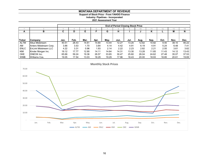**Support of Stock Price - From YAHOO Finance**

**Industry: Pipelines - Incorporated**

|               |                             | <b>End of Period Closing Stock Price</b> |       |       |       |       |       |       |       |       |       |       |          |
|---------------|-----------------------------|------------------------------------------|-------|-------|-------|-------|-------|-------|-------|-------|-------|-------|----------|
|               |                             |                                          |       |       |       |       |       |       | 10    |       | 12    | 13    | 14       |
| А             | в                           | C                                        | D     |       |       | G     | н     |       |       | n     |       | М     | N        |
|               |                             |                                          |       |       |       |       |       |       |       |       |       |       |          |
|               |                             |                                          |       |       |       |       |       |       |       |       |       |       |          |
| <b>Ticker</b> | Company                     | Jan.                                     | Feb.  | Mar.  | Apr.  | May.  | Jun.  | Jul.  | Aug.  | Sep.  | Oct.  | Nov.  | Dec.     |
| <b>ALTM</b>   | <b>Altus Midstream</b>      | 40.51                                    | 28.43 | 14.61 | 14.80 | 13.44 | 12.27 | 13.20 | 12.82 | 10.82 | 9.40  | 38.10 | 46.22    |
| AM            | Antero Midstream Corp.      | 3.86                                     | 3.53  | 1.70  | 3.84  | 4.14  | 4.42  | 4.91  | 6.19  | 4.91  | 5.24  | 6.48  | $7.41$ I |
| <b>ENLC</b>   | <b>EnLink Midstream LLC</b> | 4.22                                     | 3.31  | 0.96  | 1.93  | 2.14  | 2.22  | 2.23  | 2.82  | 2.21  | 2.55  | 3.61  | 3.62     |
| KMI           | Kinder Morgan Inc.          | 19.12                                    | 17.77 | 12.90 | 14.11 | 14.64 | 14.31 | 13.30 | 13.28 | 11.85 | 11.43 | 14.12 | 13.43    |
| <b>OKE</b>    | <b>ONEOK</b> Inc.           | 65.66                                    | 59.24 | 19.36 | 26.57 | 33.65 | 30.47 | 25.60 | 26.04 | 24.62 | 27.48 | 35.07 | 37.53    |
| <b>WMB</b>    | Williams Cos.               | 19.05                                    | 17.54 | 13.03 | 18.29 | 19.29 | 17.96 | 18.43 | 20.00 | 18.93 | 18.85 | 20.61 | 19.69    |